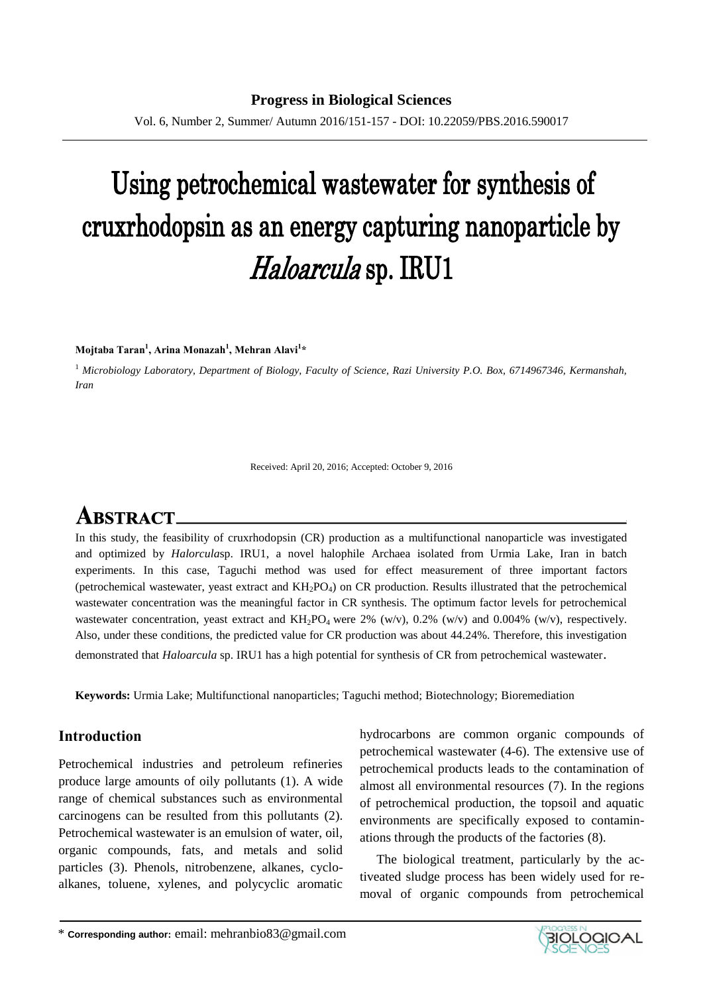Vol. 6, Number 2, Summer/ Autumn 2016/151-157 - DOI: 10.22059/PBS.2016.590017

# Using petrochemical wastewater for synthesis of cruxrhodopsin as an energy capturing nanoparticle by Haloarcula sp. IRU1

**Mojtaba Taran<sup>1</sup> , Arina Monazah<sup>1</sup> , Mehran Alavi<sup>1</sup> \***

<sup>1</sup> *Microbiology Laboratory, Department of Biology, Faculty of Science, Razi University P.O. Box, 6714967346, Kermanshah, Iran*

Received: April 20, 2016; Accepted: October 9, 2016

# **ABSTRACT.**

In this study, the feasibility of cruxrhodopsin (CR) production as a multifunctional nanoparticle was investigated and optimized by *Halorcula*sp. IRU1, a novel halophile Archaea isolated from Urmia Lake, Iran in batch experiments. In this case, Taguchi method was used for effect measurement of three important factors (petrochemical wastewater, yeast extract and  $KH_2PO_4$ ) on CR production. Results illustrated that the petrochemical wastewater concentration was the meaningful factor in CR synthesis. The optimum factor levels for petrochemical wastewater concentration, yeast extract and  $KH_2PO_4$  were 2% (w/v), 0.2% (w/v) and 0.004% (w/v), respectively. Also, under these conditions, the predicted value for CR production was about 44.24%. Therefore, this investigation demonstrated that *Haloarcula* sp. IRU1 has a high potential for synthesis of CR from petrochemical wastewater.

**Keywords:** Urmia Lake; Multifunctional nanoparticles; Taguchi method; Biotechnology; Bioremediation

# **Introduction**

Petrochemical industries and petroleum refineries produce large amounts of oily pollutants [\(1\)](#page-7-0). A wide range of chemical substances such as environmental carcinogens can be resulted from this pollutants [\(2\)](#page-7-1). Petrochemical wastewater is an emulsion of water, oil, organic compounds, fats, and metals and solid particles [\(3\)](#page-7-0). Phenols, nitrobenzene, alkanes, cycloalkanes, toluene, xylenes, and polycyclic aromatic hydrocarbons are common organic compounds of petrochemical wastewater [\(4-6\)](#page-7-2). The extensive use of petrochemical products leads to the contamination of almost all environmental resources [\(7\)](#page-7-3). In the regions of petrochemical production, the topsoil and aquatic environments are specifically exposed to contaminations through the products of the factories [\(8\)](#page-7-4).

The biological treatment, particularly by the activeated sludge process has been widely used for removal of organic compounds from petrochemical

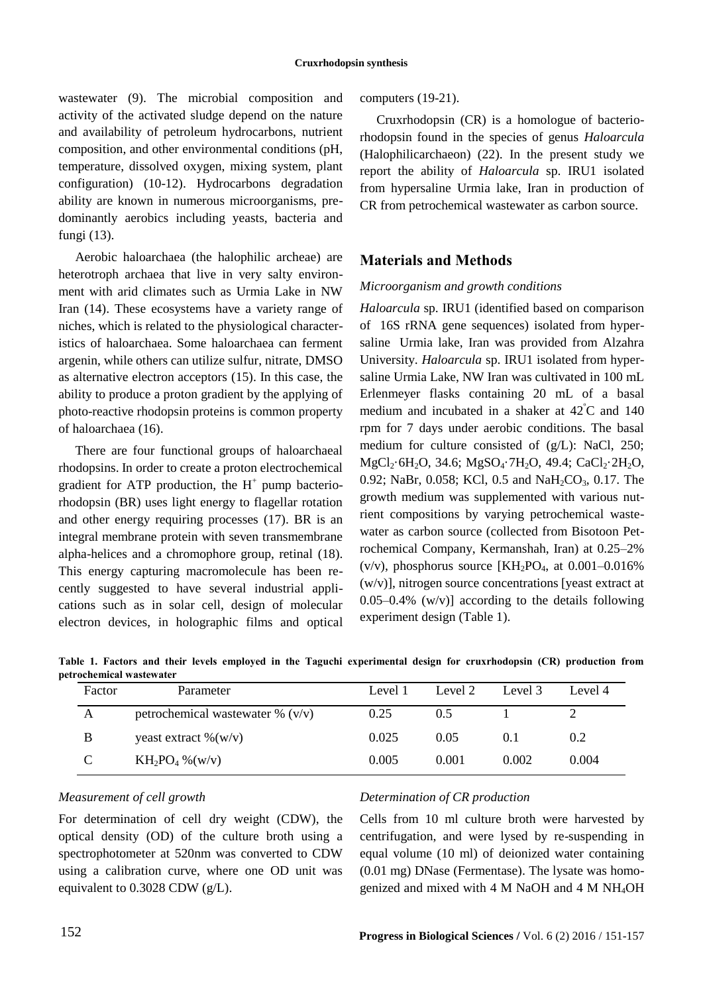wastewater [\(9\)](#page-7-5). The microbial composition and activity of the activated sludge depend on the nature and availability of petroleum hydrocarbons, nutrient composition, and other environmental conditions (pH, temperature, dissolved oxygen, mixing system, plant configuration) [\(10-12\)](#page-7-6). Hydrocarbons degradation ability are known in numerous microorganisms, predominantly aerobics including yeasts, bacteria and fungi [\(13\)](#page-7-7).

Aerobic haloarchaea (the halophilic archeae) are heterotroph archaea that live in very salty environment with arid climates such as Urmia Lake in NW Iran [\(14\)](#page-7-8). These ecosystems have a variety range of niches, which is related to the physiological characteristics of haloarchaea. Some haloarchaea can ferment argenin, while others can utilize sulfur, nitrate, DMSO as alternative electron acceptors [\(15\)](#page-7-9). In this case, the ability to produce a proton gradient by the applying of photo-reactive rhodopsin proteins is common property of haloarchaea [\(16\)](#page-7-10).

There are four functional groups of haloarchaeal rhodopsins. In order to create a proton electrochemical gradient for ATP production, the  $H^+$  pump bacteriorhodopsin (BR) uses light energy to flagellar rotation and other energy requiring processes [\(17\)](#page-7-11). BR is an integral membrane protein with seven transmembrane alpha-helices and a chromophore group, retinal [\(18\)](#page-8-0). This energy capturing macromolecule has been recently suggested to have several industrial applications such as in solar cell, design of molecular electron devices, in holographic films and optical computers [\(19-21\)](#page-8-1).

Cruxrhodopsin (CR) is a homologue of bacteriorhodopsin found in the species of genus *Haloarcula* (Halophilicarchaeon) [\(22\)](#page-8-2). In the present study we report the ability of *Haloarcula* sp. IRU1 isolated from hypersaline Urmia lake, Iran in production of CR from petrochemical wastewater as carbon source.

# **Materials and Methods**

# *Microorganism and growth conditions*

*Haloarcula* sp. IRU1 (identified based on comparison of 16S rRNA gene sequences) isolated from hypersaline Urmia lake, Iran was provided from Alzahra University. *Haloarcula* sp. IRU1 isolated from hypersaline Urmia Lake, NW Iran was cultivated in 100 mL Erlenmeyer flasks containing 20 mL of a basal medium and incubated in a shaker at  $42^{\circ}$ C and 140 rpm for 7 days under aerobic conditions. The basal medium for culture consisted of (g/L): NaCl, 250; MgCl<sub>2</sub>·6H<sub>2</sub>O, 34.6; MgSO<sub>4</sub>·7H<sub>2</sub>O, 49.4; CaCl<sub>2</sub>·2H<sub>2</sub>O, 0.92; NaBr, 0.058; KCl, 0.5 and NaH<sub>2</sub>CO<sub>3</sub>, 0.17. The growth medium was supplemented with various nutrient compositions by varying petrochemical wastewater as carbon source (collected from Bisotoon Petrochemical Company, Kermanshah, Iran) at 0.25–2% (v/v), phosphorus source  $\text{[KH}_{2}\text{PO}_{4}$ , at 0.001–0.016% (w/v)], nitrogen source concentrations [yeast extract at  $0.05-0.4\%$  (w/v)] according to the details following experiment design (Table 1).

**Table 1. Factors and their levels employed in the Taguchi experimental design for cruxrhodopsin (CR) production from petrochemical wastewater**

| Factor | Parameter                          | Level 1 | Level 2 | Level 3 | Level 4 |
|--------|------------------------------------|---------|---------|---------|---------|
| А      | petrochemical wastewater % $(v/v)$ | 0.25    | 0.5     |         |         |
| B      | yeast extract $\%$ (w/v)           | 0.025   | 0.05    | 0.1     | 0.2     |
|        | $KH_2PO_4\%$ (w/v)                 | 0.005   | 0.001   | 0.002   | 0.004   |

## *Measurement of cell growth*

For determination of cell dry weight (CDW), the optical density (OD) of the culture broth using a spectrophotometer at 520nm was converted to CDW using a calibration curve, where one OD unit was equivalent to 0.3028 CDW (g/L).

## *Determination of CR production*

Cells from 10 ml culture broth were harvested by centrifugation, and were lysed by re-suspending in equal volume (10 ml) of deionized water containing (0.01 mg) DNase (Fermentase). The lysate was homogenized and mixed with 4 M NaOH and 4 M NH4OH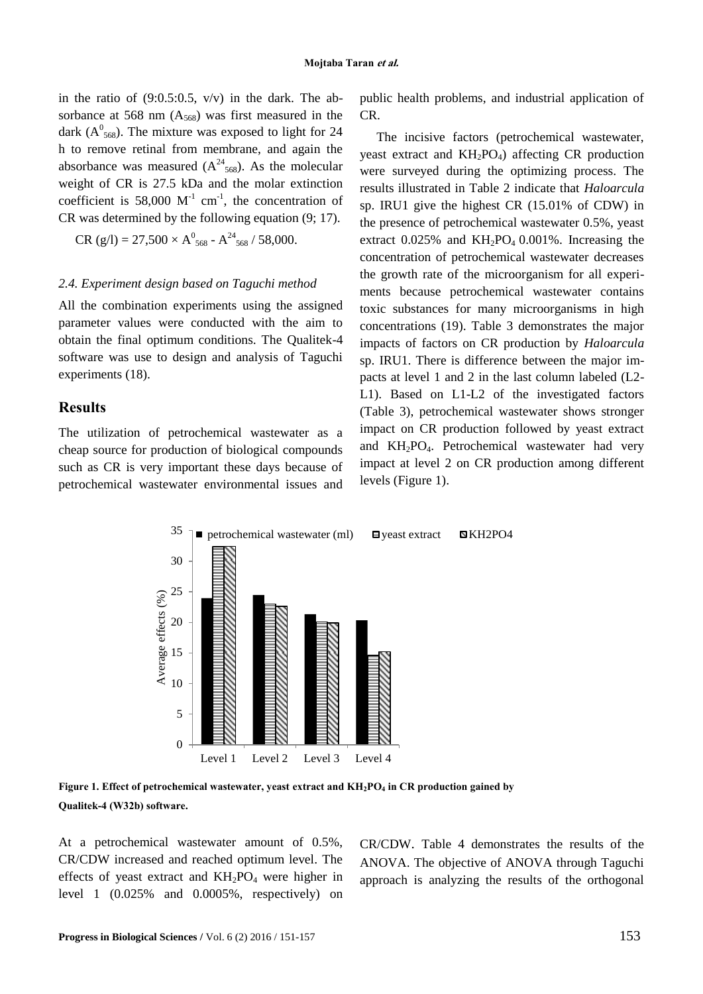in the ratio of  $(9:0.5:0.5, v/v)$  in the dark. The absorbance at 568 nm  $(A_{568})$  was first measured in the dark ( $A^0$ <sub>568</sub>). The mixture was exposed to light for 24 h to remove retinal from membrane, and again the absorbance was measured  $(A^{24}_{568})$ . As the molecular weight of CR is 27.5 kDa and the molar extinction coefficient is 58,000  $M^{-1}$  cm<sup>-1</sup>, the concentration of CR was determined by the following equation (9; 17).

 $CR (g/l) = 27,500 \times A_{568}^0 - A_{568}^{24} / 58,000.$ 

#### *2.4. Experiment design based on Taguchi method*

All the combination experiments using the assigned parameter values were conducted with the aim to obtain the final optimum conditions. The Qualitek-4 software was use to design and analysis of Taguchi experiments (18).

## **Results**

The utilization of petrochemical wastewater as a cheap source for production of biological compounds such as CR is very important these days because of petrochemical wastewater environmental issues and public health problems, and industrial application of CR.

The incisive factors (petrochemical wastewater, yeast extract and KH<sub>2</sub>PO<sub>4</sub>) affecting CR production were surveyed during the optimizing process. The results illustrated in Table 2 indicate that *Haloarcula*  sp. IRU1 give the highest CR (15.01% of CDW) in the presence of petrochemical wastewater 0.5%, yeast extract  $0.025\%$  and  $KH_2PO_4$  0.001%. Increasing the concentration of petrochemical wastewater decreases the growth rate of the microorganism for all experiments because petrochemical wastewater contains toxic substances for many microorganisms in high concentrations (19). Table 3 demonstrates the major impacts of factors on CR production by *Haloarcula*  sp. IRU1. There is difference between the major impacts at level 1 and 2 in the last column labeled (L2- L1). Based on L1-L2 of the investigated factors (Table 3), petrochemical wastewater shows stronger impact on CR production followed by yeast extract and KH2PO4. Petrochemical wastewater had very impact at level 2 on CR production among different levels (Figure 1).



**Figure 1. Effect of petrochemical wastewater, yeast extract and KH2PO<sup>4</sup> in CR production gained by Qualitek-4 (W32b) software.**

At a petrochemical wastewater amount of 0.5%, CR/CDW increased and reached optimum level. The effects of yeast extract and  $KH_2PO_4$  were higher in level 1 (0.025% and 0.0005%, respectively) on CR/CDW. Table 4 demonstrates the results of the ANOVA. The objective of ANOVA through Taguchi approach is analyzing the results of the orthogonal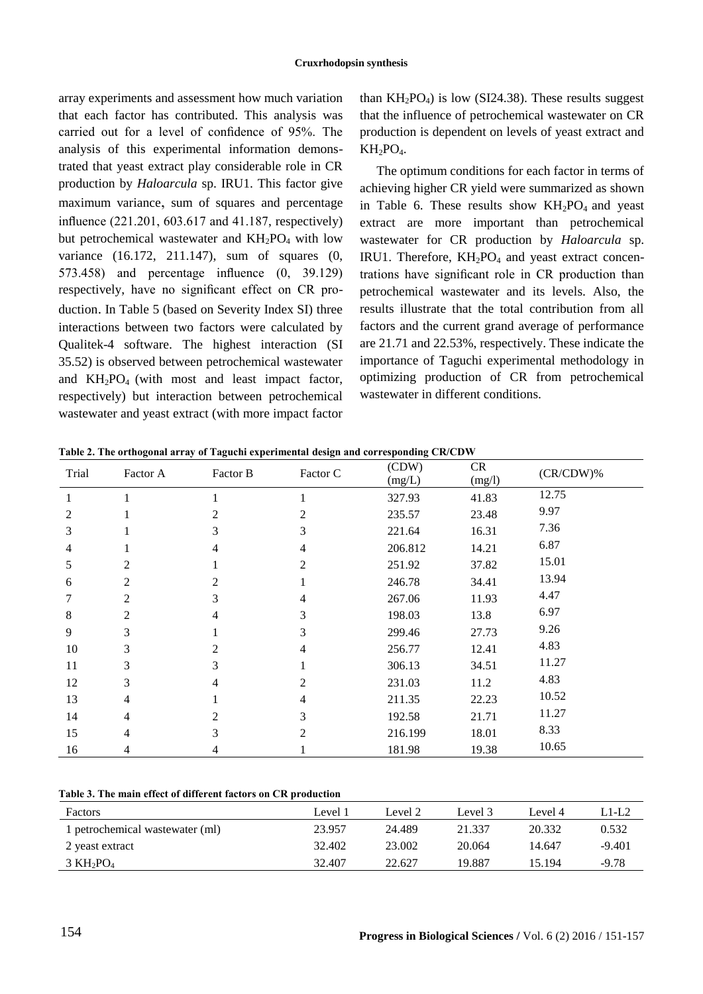array experiments and assessment how much variation that each factor has contributed. This analysis was carried out for a level of confidence of 95%. The analysis of this experimental information demonstrated that yeast extract play considerable role in CR production by *Haloarcula* sp. IRU1. This factor give maximum variance, sum of squares and percentage influence (221.201, 603.617 and 41.187, respectively) but petrochemical wastewater and  $KH_2PO_4$  with low variance (16.172, 211.147), sum of squares (0, 573.458) and percentage influence (0, 39.129) respectively, have no significant effect on CR production. In Table 5 (based on Severity Index SI) three interactions between two factors were calculated by Qualitek-4 software. The highest interaction (SI 35.52) is observed between petrochemical wastewater and  $KH_2PO_4$  (with most and least impact factor, respectively) but interaction between petrochemical wastewater and yeast extract (with more impact factor than  $KH_2PO_4$ ) is low (SI24.38). These results suggest that the influence of petrochemical wastewater on CR production is dependent on levels of yeast extract and  $KH_2PO_4.$ 

The optimum conditions for each factor in terms of achieving higher CR yield were summarized as shown in Table 6. These results show  $KH_2PO_4$  and yeast extract are more important than petrochemical wastewater for CR production by *Haloarcula* sp. IRU1. Therefore,  $KH_2PO_4$  and yeast extract concentrations have significant role in CR production than petrochemical wastewater and its levels. Also, the results illustrate that the total contribution from all factors and the current grand average of performance are 21.71 and 22.53%, respectively. These indicate the importance of Taguchi experimental methodology in optimizing production of CR from petrochemical wastewater in different conditions.

| Trial          | Factor A       | Factor B       | Factor C       | (CDW)   | <b>CR</b> | $(CR/CDW)$ % |
|----------------|----------------|----------------|----------------|---------|-----------|--------------|
|                |                |                |                | (mg/L)  | (mg/l)    |              |
| 1              |                |                |                | 327.93  | 41.83     | 12.75        |
| 2              |                | 2              | $\overline{c}$ | 235.57  | 23.48     | 9.97         |
| 3              |                | 3              | 3              | 221.64  | 16.31     | 7.36         |
| $\overline{4}$ | 1              | 4              | 4              | 206.812 | 14.21     | 6.87         |
| 5              | $\overline{2}$ |                | $\overline{c}$ | 251.92  | 37.82     | 15.01        |
| 6              | 2              | 2              |                | 246.78  | 34.41     | 13.94        |
| 7              | $\overline{c}$ | 3              | 4              | 267.06  | 11.93     | 4.47         |
| 8              | $\overline{2}$ | 4              | 3              | 198.03  | 13.8      | 6.97         |
| 9              | 3              |                | 3              | 299.46  | 27.73     | 9.26         |
| 10             | 3              | $\mathfrak{D}$ | 4              | 256.77  | 12.41     | 4.83         |
| 11             | 3              | 3              |                | 306.13  | 34.51     | 11.27        |
| 12             | 3              | 4              | $\overline{c}$ | 231.03  | 11.2      | 4.83         |
| 13             | $\overline{4}$ |                | 4              | 211.35  | 22.23     | 10.52        |
| 14             | 4              | $\mathfrak{D}$ | 3              | 192.58  | 21.71     | 11.27        |
| 15             | 4              | 3              | 2              | 216.199 | 18.01     | 8.33         |
| 16             | 4              | 4              |                | 181.98  | 19.38     | 10.65        |

**Table 2. The orthogonal array of Taguchi experimental design and corresponding CR/CDW**

#### **Table 3. The main effect of different factors on CR production**

| Factors                         | Level 1 | Level 2 | Level 3 | Level 4 | L1-L2    |
|---------------------------------|---------|---------|---------|---------|----------|
| 1 petrochemical wastewater (ml) | 23.957  | 24.489  | 21.337  | 20.332  | 0.532    |
| 2 yeast extract                 | 32.402  | 23.002  | 20.064  | 14.647  | $-9.401$ |
| $3 \text{ KH}_2\text{PO}_4$     | 32.407  | 22.627  | 19.887  | 15.194  | $-9.78$  |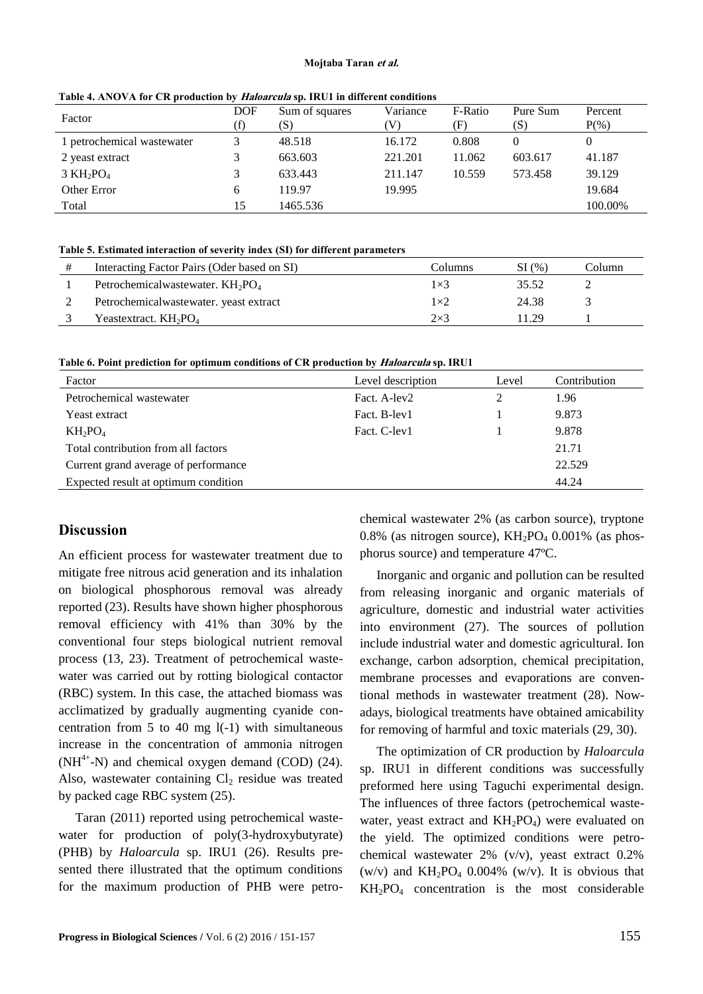#### **Mojtaba Taran et al.**

| Factor                      | <b>DOF</b><br>(f) | Sum of squares<br>(S) | Variance<br>V) | F-Ratio<br>(F) | Pure Sum<br>(S) | Percent<br>$P(\% )$ |
|-----------------------------|-------------------|-----------------------|----------------|----------------|-----------------|---------------------|
| 1 petrochemical wastewater  |                   | 48.518                | 16.172         | 0.808          | 0               | 0                   |
| 2 yeast extract             |                   | 663.603               | 221.201        | 11.062         | 603.617         | 41.187              |
| $3 \text{ KH}_2\text{PO}_4$ |                   | 633.443               | 211.147        | 10.559         | 573.458         | 39.129              |
| Other Error                 | 6                 | 119.97                | 19.995         |                |                 | 19.684              |
| Total                       | 15                | 1465.536              |                |                |                 | 100.00%             |

**Table 4. ANOVA for CR production by Haloarcula sp. IRU1 in different conditions**

#### **Table 5. Estimated interaction of severity index (SI) for different parameters**

| Interacting Factor Pairs (Oder based on SI) | Columns     | SI(%) | Column |
|---------------------------------------------|-------------|-------|--------|
| Petrochemicalwastewater. $KH_2PO_4$         | $1\times 3$ | 35.52 |        |
| Petrochemicalwastewater. yeast extract      | $1\times2$  | 24.38 |        |
| Yeastextract. $KH_2PO_4$                    | $2\times3$  | 1.29  |        |

**Table 6. Point prediction for optimum conditions of CR production by Haloarcula sp. IRU1**

| Factor                               | Level description | Level | Contribution |
|--------------------------------------|-------------------|-------|--------------|
| Petrochemical wastewater             | Fact. A-lev2      |       | 1.96         |
| Yeast extract                        | Fact. B-lev1      |       | 9.873        |
| $KH_2PO_4$                           | Fact. C-lev1      |       | 9.878        |
| Total contribution from all factors  |                   |       | 21.71        |
| Current grand average of performance |                   |       | 22.529       |
| Expected result at optimum condition |                   |       | 44.24        |

# **Discussion**

An efficient process for wastewater treatment due to mitigate free nitrous acid generation and its inhalation on biological phosphorous removal was already reported [\(23\)](#page-8-3). Results have shown higher phosphorous removal efficiency with 41% than 30% by the conventional four steps biological nutrient removal process [\(13,](#page-7-7) [23\)](#page-8-3). Treatment of petrochemical wastewater was carried out by rotting biological contactor (RBC) system. In this case, the attached biomass was acclimatized by gradually augmenting cyanide concentration from 5 to 40 mg l(-1) with simultaneous increase in the concentration of ammonia nitrogen  $(NH<sup>4+</sup>-N)$  and chemical oxygen demand (COD) [\(24\)](#page-8-4). Also, wastewater containing  $Cl<sub>2</sub>$  residue was treated by packed cage RBC system [\(25\)](#page-8-5).

Taran (2011) reported using petrochemical wastewater for production of poly(3-hydroxybutyrate) (PHB) by *Haloarcula* sp. IRU1 [\(26\)](#page-8-6). Results presented there illustrated that the optimum conditions for the maximum production of PHB were petrochemical wastewater 2% (as carbon source), tryptone 0.8% (as nitrogen source),  $KH_2PO_4$  0.001% (as phosphorus source) and temperature 47ºC.

Inorganic and organic and pollution can be resulted from releasing inorganic and organic materials of agriculture, domestic and industrial water activities into environment [\(27\)](#page-8-7). The sources of pollution include industrial water and domestic agricultural. Ion exchange, carbon adsorption, chemical precipitation, membrane processes and evaporations are conventional methods in wastewater treatment [\(28\)](#page-8-8). Nowadays, biological treatments have obtained amicability for removing of harmful and toxic materials [\(29,](#page-8-9) [30\)](#page-8-10).

The optimization of CR production by *Haloarcula* sp. IRU1 in different conditions was successfully preformed here using Taguchi experimental design. The influences of three factors (petrochemical wastewater, yeast extract and  $KH_2PO_4$ ) were evaluated on the yield. The optimized conditions were petrochemical wastewater 2% (v/v), yeast extract 0.2% (w/v) and  $KH_2PO_4$  0.004% (w/v). It is obvious that  $KH<sub>2</sub>PO<sub>4</sub>$  concentration is the most considerable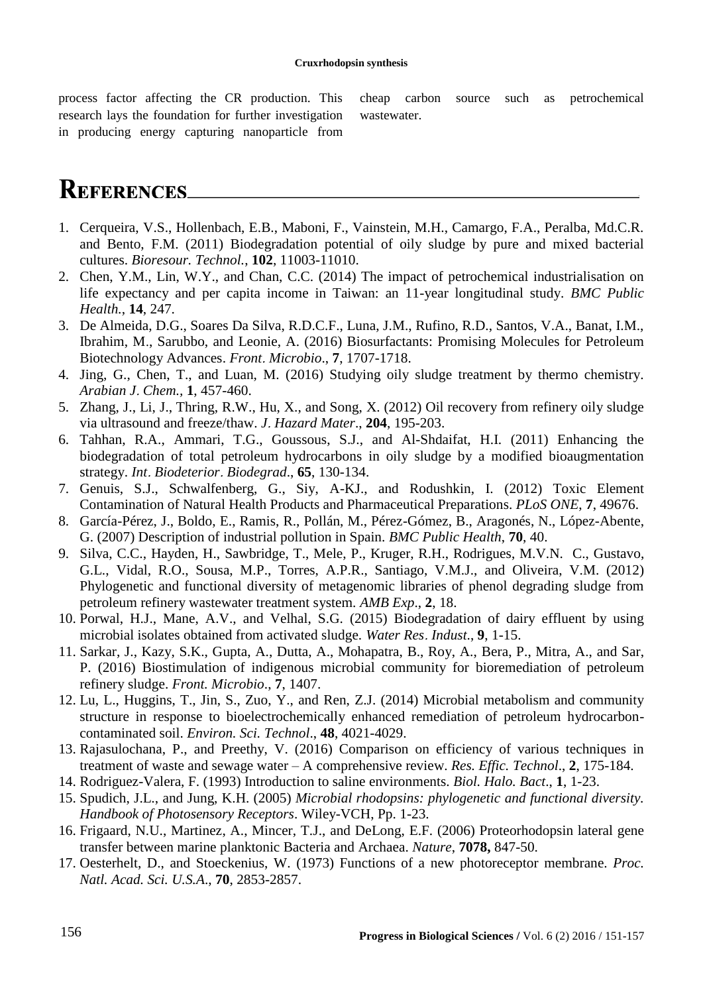process factor affecting the CR production. This research lays the foundation for further investigation in producing energy capturing nanoparticle from

<span id="page-7-5"></span>cheap carbon source such as petrochemical wastewater.

# **REFERENCES**

- <span id="page-7-0"></span>1. Cerqueira, V.S., Hollenbach, E.B., Maboni, F., Vainstein, M.H., Camargo, F.A., Peralba, Md.C.R. and Bento, F.M. (2011) Biodegradation potential of oily sludge by pure and mixed bacterial cultures. *Bioresour. Technol.*, **102**, 11003-11010.
- <span id="page-7-1"></span>2. Chen, Y.M., Lin, W.Y., and Chan, C.C. (2014) The impact of petrochemical industrialisation on life expectancy and per capita income in Taiwan: an 11-year longitudinal study. *BMC Public Health.*, **14**, 247.
- 3. De Almeida, D.G., Soares Da Silva, R.D.C.F., Luna, J.M., Rufino, R.D., Santos, V.A., Banat, I.M., Ibrahim, M., Sarubbo, and Leonie, A. (2016) Biosurfactants: Promising Molecules for Petroleum Biotechnology Advances. *Front*. *Microbio*., **7**, 1707-1718.
- <span id="page-7-2"></span>4. Jing, G., Chen, T., and Luan, M. (2016) Studying oily sludge treatment by thermo chemistry. *Arabian J*. *Chem.,* **1**, 457-460.
- 5. Zhang, J., Li, J., Thring, R.W., Hu, X., and Song, X. (2012) Oil recovery from refinery oily sludge via ultrasound and freeze/thaw. *J*. *Hazard Mater*., **204**, 195-203.
- 6. Tahhan, R.A., Ammari, T.G., Goussous, S.J., and Al-Shdaifat, H.I. (2011) Enhancing the biodegradation of total petroleum hydrocarbons in oily sludge by a modified bioaugmentation strategy. *Int*. *Biodeterior*. *Biodegrad*., **65**, 130-134.
- <span id="page-7-3"></span>7. Genuis, S.J., Schwalfenberg, G., Siy, A-KJ., and Rodushkin, I. (2012) Toxic Element Contamination of Natural Health Products and Pharmaceutical Preparations. *PLoS ONE*, **7**, 49676.
- <span id="page-7-4"></span>8. García-Pérez, J., Boldo, E., Ramis, R., Pollán, M., Pérez-Gómez, B., Aragonés, N., López-Abente, G. (2007) Description of industrial pollution in Spain. *BMC Public Health*, **70**, 40.
- 9. Silva, C.C., Hayden, H., Sawbridge, T., Mele, P., Kruger, R.H., Rodrigues, M.V.N. C., Gustavo, G.L., Vidal, R.O., Sousa, M.P., Torres, A.P.R., Santiago, V.M.J., and Oliveira, V.M. (2012) Phylogenetic and functional diversity of metagenomic libraries of phenol degrading sludge from petroleum refinery wastewater treatment system. *AMB Exp*., **2**, 18.
- <span id="page-7-6"></span>10. Porwal, H.J., Mane, A.V., and Velhal, S.G. (2015) Biodegradation of dairy effluent by using microbial isolates obtained from activated sludge. *Water Res*. *Indust*., **9**, 1-15.
- 11. Sarkar, J., Kazy, S.K., Gupta, A., Dutta, A., Mohapatra, B., Roy, A., Bera, P., Mitra, A., and Sar, P. (2016) Biostimulation of indigenous microbial community for bioremediation of petroleum refinery sludge. *Front. Microbio*., **7**, 1407.
- 12. Lu, L., Huggins, T., Jin, S., Zuo, Y., and Ren, Z.J. (2014) Microbial metabolism and community structure in response to bioelectrochemically enhanced remediation of petroleum hydrocarboncontaminated soil. *Environ. Sci. Technol*., **48**, 4021-4029.
- <span id="page-7-7"></span>13. Rajasulochana, P., and Preethy, V. (2016) Comparison on efficiency of various techniques in treatment of waste and sewage water – A comprehensive review. *Res. Effic. Technol*., **2**, 175-184.
- <span id="page-7-8"></span>14. Rodriguez-Valera, F. (1993) Introduction to saline environments. *Biol. Halo. Bact*., **1**, 1-23.
- <span id="page-7-9"></span>15. Spudich, J.L., and Jung, K.H. (2005) *Microbial rhodopsins: phylogenetic and functional diversity. Handbook of Photosensory Receptors*. Wiley-VCH, Pp. 1-23.
- <span id="page-7-10"></span>16. Frigaard, N.U., Martinez, A., Mincer, T.J., and DeLong, E.F. (2006) Proteorhodopsin lateral gene transfer between marine planktonic Bacteria and Archaea. *Nature*, **7078,** 847-50.
- <span id="page-7-11"></span>17. Oesterhelt, D., and Stoeckenius, W. (1973) Functions of a new photoreceptor membrane. *Proc. Natl. Acad. Sci. U.S.A*., **70**, 2853-2857.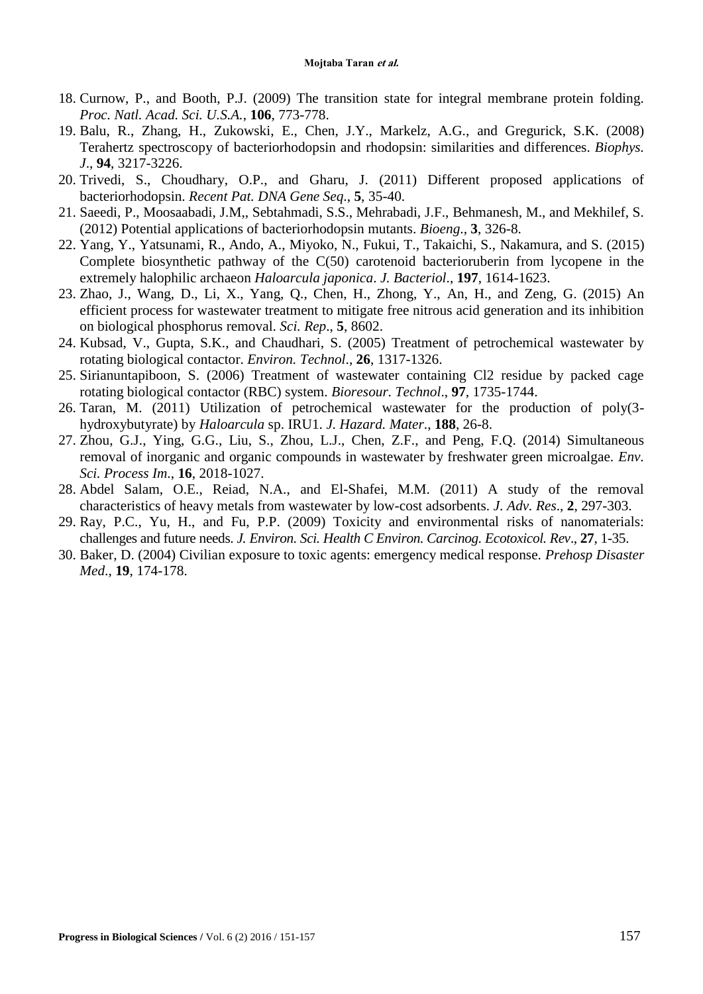- <span id="page-8-0"></span>18. Curnow, P., and Booth, P.J. (2009) The transition state for integral membrane protein folding. *Proc. Natl. Acad. Sci. U.S.A.*, **106**, 773-778.
- <span id="page-8-1"></span>19. Balu, R., Zhang, H., Zukowski, E., Chen, J.Y., Markelz, A.G., and Gregurick, S.K. (2008) Terahertz spectroscopy of bacteriorhodopsin and rhodopsin: similarities and differences. *Biophys. J*., **94**, 3217-3226.
- 20. Trivedi, S., Choudhary, O.P., and Gharu, J. (2011) Different proposed applications of bacteriorhodopsin. *Recent Pat. DNA Gene Seq*., **5**, 35-40.
- 21. Saeedi, P., Moosaabadi, J.M,, Sebtahmadi, S.S., Mehrabadi, J.F., Behmanesh, M., and Mekhilef, S. (2012) Potential applications of bacteriorhodopsin mutants. *Bioeng*., **3**, 326-8.
- <span id="page-8-2"></span>22. Yang, Y., Yatsunami, R., Ando, A., Miyoko, N., Fukui, T., Takaichi, S., Nakamura, and S. (2015) Complete biosynthetic pathway of the C(50) carotenoid bacterioruberin from lycopene in the extremely halophilic archaeon *Haloarcula japonica*. *J. Bacteriol*., **197**, 1614-1623.
- <span id="page-8-3"></span>23. Zhao, J., Wang, D., Li, X., Yang, Q., Chen, H., Zhong, Y., An, H., and Zeng, G. (2015) An efficient process for wastewater treatment to mitigate free nitrous acid generation and its inhibition on biological phosphorus removal. *Sci. Rep*., **5**, 8602.
- <span id="page-8-4"></span>24. Kubsad, V., Gupta, S.K., and Chaudhari, S. (2005) Treatment of petrochemical wastewater by rotating biological contactor. *Environ. Technol*., **26**, 1317-1326.
- <span id="page-8-5"></span>25. Sirianuntapiboon, S. (2006) Treatment of wastewater containing Cl2 residue by packed cage rotating biological contactor (RBC) system. *Bioresour. Technol*., **97**, 1735-1744.
- <span id="page-8-6"></span>26. Taran, M. (2011) Utilization of petrochemical wastewater for the production of poly(3 hydroxybutyrate) by *Haloarcula* sp. IRU1. *J. Hazard. Mater*., **188**, 26-8.
- <span id="page-8-7"></span>27. Zhou, G.J., Ying, G.G., Liu, S., Zhou, L.J., Chen, Z.F., and Peng, F.Q. (2014) Simultaneous removal of inorganic and organic compounds in wastewater by freshwater green microalgae. *Env. Sci. Process Im*., **16**, 2018-1027.
- <span id="page-8-8"></span>28. Abdel Salam, O.E., Reiad, N.A., and El-Shafei, M.M. (2011) A study of the removal characteristics of heavy metals from wastewater by low-cost adsorbents. *J. Adv. Res*., **2**, 297-303.
- <span id="page-8-9"></span>29. Ray, P.C., Yu, H., and Fu, P.P. (2009) Toxicity and environmental risks of nanomaterials: challenges and future needs. *J. Environ. Sci. Health C Environ. Carcinog. Ecotoxicol. Rev*., **27**, 1-35.
- <span id="page-8-10"></span>30. Baker, D. (2004) Civilian exposure to toxic agents: emergency medical response. *Prehosp Disaster Med*., **19**, 174-178.